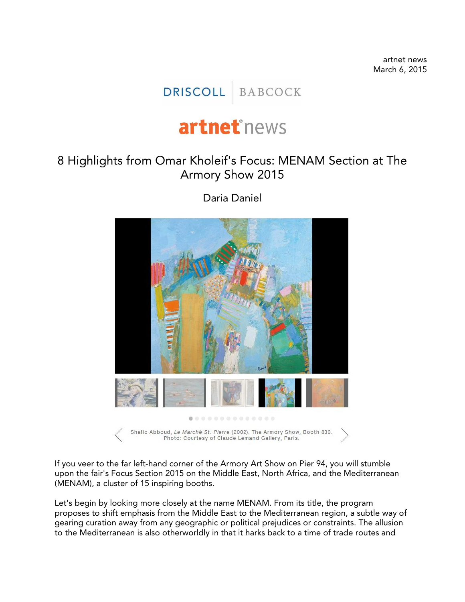artnet news March 6, 2015

## DRISCOLL BABCOCK

## artnet<sup>®</sup>news

## 8 Highlights from Omar Kholeif's Focus: MENAM Section at The Armory Show 2015



Daria Daniel

If you veer to the far left-hand corner of the Armory Art Show on Pier 94, you will stumble upon the fair's Focus Section 2015 on the Middle East, North Africa, and the Mediterranean (MENAM), a cluster of 15 inspiring booths.

Let's begin by looking more closely at the name MENAM. From its title, the program proposes to shift emphasis from the Middle East to the Mediterranean region, a subtle way of gearing curation away from any geographic or political prejudices or constraints. The allusion to the Mediterranean is also otherworldly in that it harks back to a time of trade routes and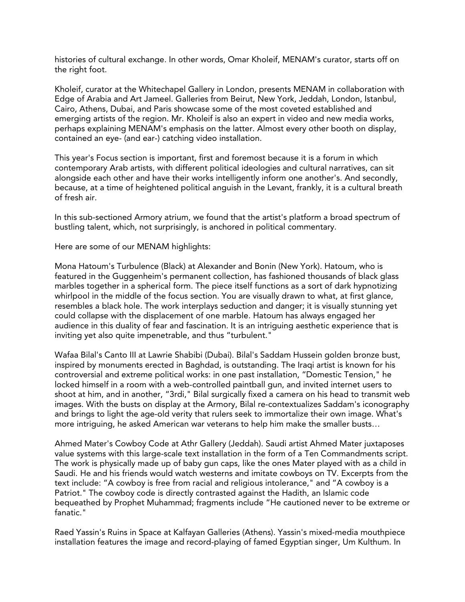histories of cultural exchange. In other words, Omar Kholeif, MENAM's curator, starts off on the right foot.

Kholeif, curator at the Whitechapel Gallery in London, presents MENAM in collaboration with Edge of Arabia and Art Jameel. Galleries from Beirut, New York, Jeddah, London, Istanbul, Cairo, Athens, Dubai, and Paris showcase some of the most coveted established and emerging artists of the region. Mr. Kholeif is also an expert in video and new media works, perhaps explaining MENAM's emphasis on the latter. Almost every other booth on display, contained an eye- (and ear-) catching video installation.

This year's Focus section is important, first and foremost because it is a forum in which contemporary Arab artists, with different political ideologies and cultural narratives, can sit alongside each other and have their works intelligently inform one another's. And secondly, because, at a time of heightened political anguish in the Levant, frankly, it is a cultural breath of fresh air.

In this sub-sectioned Armory atrium, we found that the artist's platform a broad spectrum of bustling talent, which, not surprisingly, is anchored in political commentary.

Here are some of our MENAM highlights:

Mona Hatoum's Turbulence (Black) at Alexander and Bonin (New York). Hatoum, who is featured in the Guggenheim's permanent collection, has fashioned thousands of black glass marbles together in a spherical form. The piece itself functions as a sort of dark hypnotizing whirlpool in the middle of the focus section. You are visually drawn to what, at first glance, resembles a black hole. The work interplays seduction and danger; it is visually stunning yet could collapse with the displacement of one marble. Hatoum has always engaged her audience in this duality of fear and fascination. It is an intriguing aesthetic experience that is inviting yet also quite impenetrable, and thus "turbulent."

Wafaa Bilal's Canto III at Lawrie Shabibi (Dubai). Bilal's Saddam Hussein golden bronze bust, inspired by monuments erected in Baghdad, is outstanding. The Iraqi artist is known for his controversial and extreme political works: in one past installation, "Domestic Tension," he locked himself in a room with a web-controlled paintball gun, and invited internet users to shoot at him, and in another, "3rdi," Bilal surgically fixed a camera on his head to transmit web images. With the busts on display at the Armory, Bilal re-contextualizes Saddam's iconography and brings to light the age-old verity that rulers seek to immortalize their own image. What's more intriguing, he asked American war veterans to help him make the smaller busts…

Ahmed Mater's Cowboy Code at Athr Gallery (Jeddah). Saudi artist Ahmed Mater juxtaposes value systems with this large-scale text installation in the form of a Ten Commandments script. The work is physically made up of baby gun caps, like the ones Mater played with as a child in Saudi. He and his friends would watch westerns and imitate cowboys on TV. Excerpts from the text include: "A cowboy is free from racial and religious intolerance," and "A cowboy is a Patriot." The cowboy code is directly contrasted against the Hadith, an Islamic code bequeathed by Prophet Muhammad; fragments include "He cautioned never to be extreme or fanatic."

Raed Yassin's Ruins in Space at Kalfayan Galleries (Athens). Yassin's mixed-media mouthpiece installation features the image and record-playing of famed Egyptian singer, Um Kulthum. In